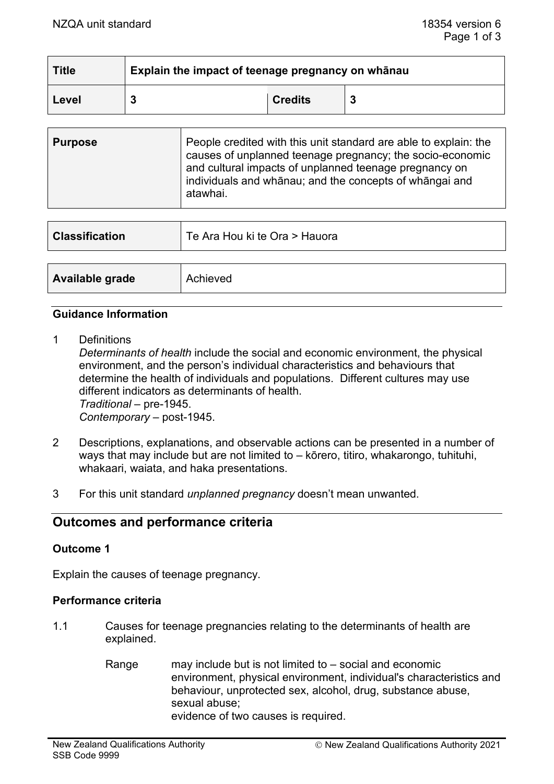| <b>Title</b> | Explain the impact of teenage pregnancy on whānau |                |  |
|--------------|---------------------------------------------------|----------------|--|
| Level        |                                                   | <b>Credits</b> |  |

| <b>Purpose</b> | People credited with this unit standard are able to explain: the<br>causes of unplanned teenage pregnancy; the socio-economic<br>and cultural impacts of unplanned teenage pregnancy on<br>individuals and whānau; and the concepts of whāngai and<br>atawhai. |
|----------------|----------------------------------------------------------------------------------------------------------------------------------------------------------------------------------------------------------------------------------------------------------------|
|                |                                                                                                                                                                                                                                                                |

| <b>Classification</b> | Te Ara Hou ki te Ora > Hauora |
|-----------------------|-------------------------------|
|                       |                               |
| Available grade       | Achieved                      |

## **Guidance Information**

1 Definitions

*Determinants of health* include the social and economic environment, the physical environment, and the person's individual characteristics and behaviours that determine the health of individuals and populations. Different cultures may use different indicators as determinants of health. *Traditional* – pre-1945. *Contemporary* – post-1945.

- 2 Descriptions, explanations, and observable actions can be presented in a number of ways that may include but are not limited to – kōrero, titiro, whakarongo, tuhituhi, whakaari, waiata, and haka presentations.
- 3 For this unit standard *unplanned pregnancy* doesn't mean unwanted.

# **Outcomes and performance criteria**

## **Outcome 1**

Explain the causes of teenage pregnancy.

## **Performance criteria**

- 1.1 Causes for teenage pregnancies relating to the determinants of health are explained.
	- Range may include but is not limited to  $-$  social and economic environment, physical environment, individual's characteristics and behaviour, unprotected sex, alcohol, drug, substance abuse, sexual abuse; evidence of two causes is required.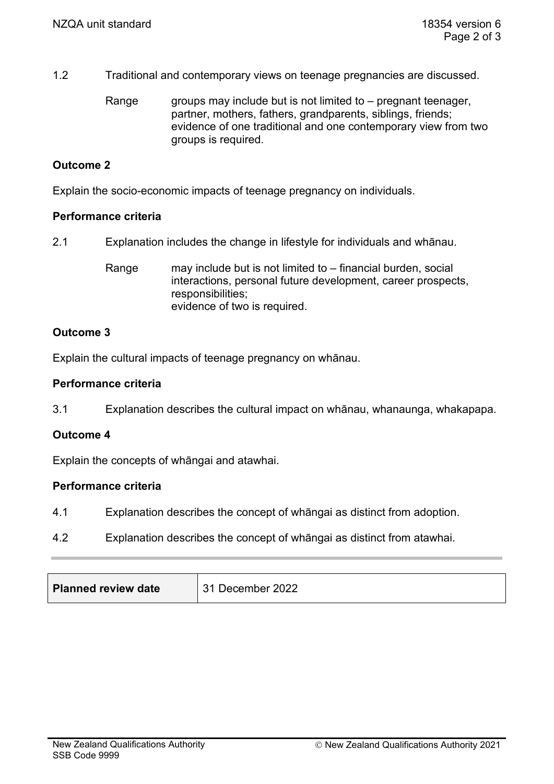- 1.2 Traditional and contemporary views on teenage pregnancies are discussed.
	- Range groups may include but is not limited to  $-$  pregnant teenager, partner, mothers, fathers, grandparents, siblings, friends; evidence of one traditional and one contemporary view from two groups is required.

## **Outcome 2**

Explain the socio-economic impacts of teenage pregnancy on individuals.

#### **Performance criteria**

- 2.1 Explanation includes the change in lifestyle for individuals and whānau.
	- Range may include but is not limited to financial burden, social interactions, personal future development, career prospects, responsibilities; evidence of two is required.

## **Outcome 3**

Explain the cultural impacts of teenage pregnancy on whānau.

#### **Performance criteria**

3.1 Explanation describes the cultural impact on whānau, whanaunga, whakapapa.

## **Outcome 4**

Explain the concepts of whāngai and atawhai.

#### **Performance criteria**

- 4.1 Explanation describes the concept of whāngai as distinct from adoption.
- 4.2 Explanation describes the concept of whāngai as distinct from atawhai.

| 31 December 2022<br><b>Planned review date</b> |  |
|------------------------------------------------|--|
|------------------------------------------------|--|